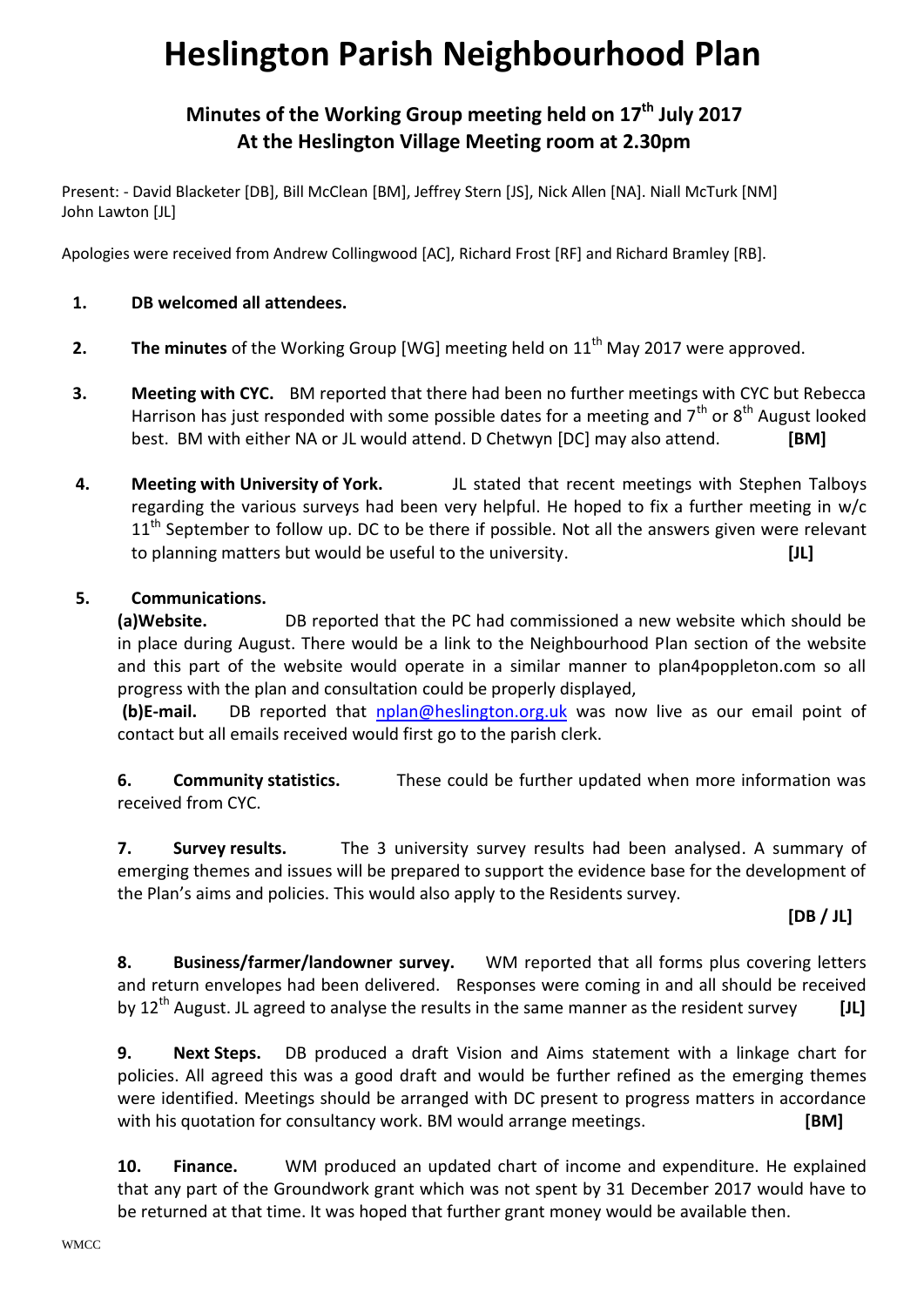# **Heslington Parish Neighbourhood Plan**

# **Minutes of the Working Group meeting held on 17th July 2017 At the Heslington Village Meeting room at 2.30pm**

Present: - David Blacketer [DB], Bill McClean [BM], Jeffrey Stern [JS], Nick Allen [NA]. Niall McTurk [NM] John Lawton [JL]

Apologies were received from Andrew Collingwood [AC], Richard Frost [RF] and Richard Bramley [RB].

#### **1. DB welcomed all attendees.**

- **2.** The minutes of the Working Group [WG] meeting held on 11<sup>th</sup> May 2017 were approved.
- **3. Meeting with CYC.** BM reported that there had been no further meetings with CYC but Rebecca Harrison has just responded with some possible dates for a meeting and  $7<sup>th</sup>$  or  $8<sup>th</sup>$  August looked best. BM with either NA or JL would attend. D Chetwyn [DC] may also attend. **[BM]**
- **4. Meeting with University of York.** JL stated that recent meetings with Stephen Talboys regarding the various surveys had been very helpful. He hoped to fix a further meeting in w/c  $11<sup>th</sup>$  September to follow up. DC to be there if possible. Not all the answers given were relevant to planning matters but would be useful to the university. **[JL]**

## **5. Communications.**

**(a)Website.** DB reported that the PC had commissioned a new website which should be in place during August. There would be a link to the Neighbourhood Plan section of the website and this part of the website would operate in a similar manner to plan4poppleton.com so all progress with the plan and consultation could be properly displayed,

**(b)E-mail.** DB reported that [nplan@heslington.org.](mailto:nplan@heslington.org)uk was now live as our email point of contact but all emails received would first go to the parish clerk.

**6. Community statistics.** These could be further updated when more information was received from CYC.

**7. Survey results.** The 3 university survey results had been analysed. A summary of emerging themes and issues will be prepared to support the evidence base for the development of the Plan's aims and policies. This would also apply to the Residents survey.

## **[DB / JL]**

**8. Business/farmer/landowner survey.** WM reported that all forms plus covering letters and return envelopes had been delivered. Responses were coming in and all should be received by 12th August. JL agreed to analyse the results in the same manner as the resident survey **[JL]**

**9. Next Steps.** DB produced a draft Vision and Aims statement with a linkage chart for policies. All agreed this was a good draft and would be further refined as the emerging themes were identified. Meetings should be arranged with DC present to progress matters in accordance with his quotation for consultancy work. BM would arrange meetings. **[BM]** 

**10. Finance.** WM produced an updated chart of income and expenditure. He explained that any part of the Groundwork grant which was not spent by 31 December 2017 would have to be returned at that time. It was hoped that further grant money would be available then.